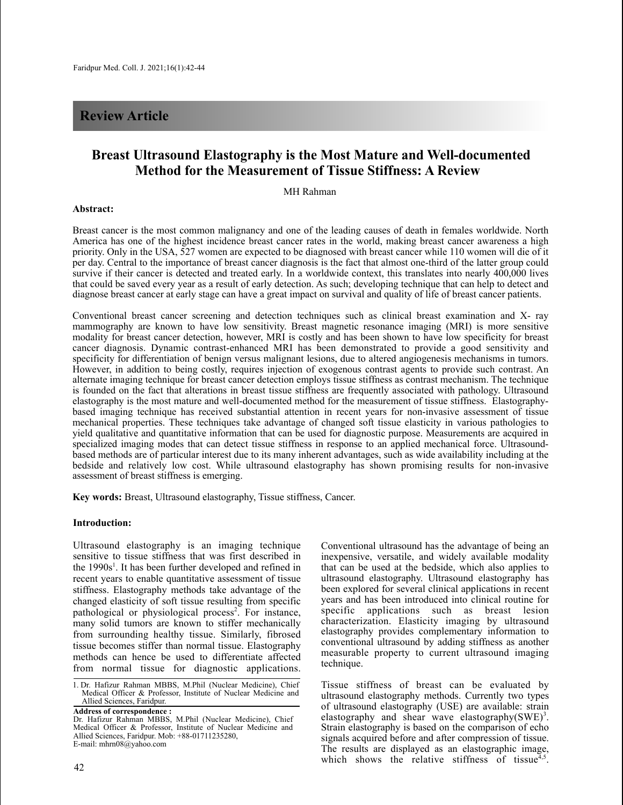## **Review Article**

# **Breast Ultrasound Elastography is the Most Mature and Well-documented Method for the Measurement of Tissue Stiffness: A Review**

## MH Rahman

#### **Abstract:**

Breast cancer is the most common malignancy and one of the leading causes of death in females worldwide. North America has one of the highest incidence breast cancer rates in the world, making breast cancer awareness a high priority. Only in the USA, 527 women are expected to be diagnosed with breast cancer while 110 women will die of it per day. Central to the importance of breast cancer diagnosis is the fact that almost one-third of the latter group could survive if their cancer is detected and treated early. In a worldwide context, this translates into nearly 400,000 lives that could be saved every year as a result of early detection. As such; developing technique that can help to detect and diagnose breast cancer at early stage can have a great impact on survival and quality of life of breast cancer patients.

Conventional breast cancer screening and detection techniques such as clinical breast examination and X- ray mammography are known to have low sensitivity. Breast magnetic resonance imaging (MRI) is more sensitive modality for breast cancer detection, however, MRI is costly and has been shown to have low specificity for breast cancer diagnosis. Dynamic contrast-enhanced MRI has been demonstrated to provide a good sensitivity and specificity for differentiation of benign versus malignant lesions, due to altered angiogenesis mechanisms in tumors. However, in addition to being costly, requires injection of exogenous contrast agents to provide such contrast. An alternate imaging technique for breast cancer detection employs tissue stiffness as contrast mechanism. The technique is founded on the fact that alterations in breast tissue stiffness are frequently associated with pathology. Ultrasound elastography is the most mature and well-documented method for the measurement of tissue stiffness. Elastographybased imaging technique has received substantial attention in recent years for non-invasive assessment of tissue mechanical properties. These techniques take advantage of changed soft tissue elasticity in various pathologies to yield qualitative and quantitative information that can be used for diagnostic purpose. Measurements are acquired in specialized imaging modes that can detect tissue stiffness in response to an applied mechanical force. Ultrasoundbased methods are of particular interest due to its many inherent advantages, such as wide availability including at the bedside and relatively low cost. While ultrasound elastography has shown promising results for non-invasive assessment of breast stiffness is emerging.

**Key words:** Breast, Ultrasound elastography, Tissue stiffness, Cancer.

#### **Introduction:**

Ultrasound elastography is an imaging technique sensitive to tissue stiffness that was first described in the 1990s 1 . It has been further developed and refined in recent years to enable quantitative assessment of tissue stiffness. Elastography methods take advantage of the changed elasticity of soft tissue resulting from specific pathological or physiological process 2 . For instance, many solid tumors are known to stiffer mechanically from surrounding healthy tissue. Similarly, fibrosed tissue becomes stiffer than normal tissue. Elastography methods can hence be used to differentiate affected from normal tissue for diagnostic applications.

1. Dr. Hafizur Rahman MBBS, M.Phil (Nuclear Medicine), Chief Medical Officer & Professor, Institute of Nuclear Medicine and Allied Sciences, Faridpur.

Conventional ultrasound has the advantage of being an inexpensive, versatile, and widely available modality that can be used at the bedside, which also applies to ultrasound elastography. Ultrasound elastography has been explored for several clinical applications in recent years and has been introduced into clinical routine for specific applications such as breast lesion characterization. Elasticity imaging by ultrasound elastography provides complementary information to conventional ultrasound by adding stiffness as another measurable property to current ultrasound imaging technique.

Tissue stiffness of breast can be evaluated by ultrasound elastography methods. Currently two types of ultrasound elastography (USE) are available: strain elastography and shear wave elastography(SWE)<sup>3</sup>. Strain elastography is based on the comparison of echo signals acquired before and after compression of tissue. The results are displayed as an elastographic image, which shows the relative stiffness of tissue<sup> $4$ </sup>, .

**Address of correspondence :** Dr. Hafizur Rahman MBBS, M.Phil (Nuclear Medicine), Chief Medical Officer & Professor, Institute of Nuclear Medicine and Allied Sciences, Faridpur. Mob: +88-01711235280, E-mail: mhrn08@yahoo.com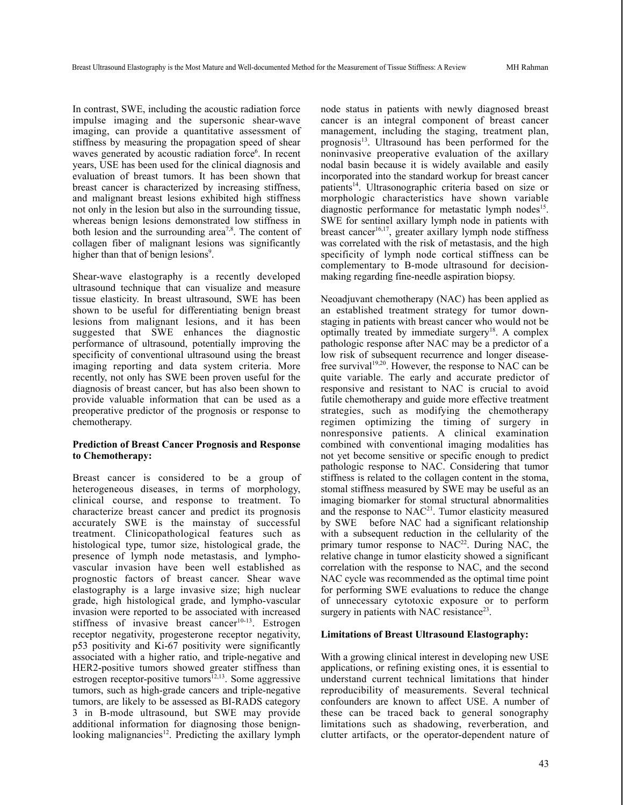In contrast, SWE, including the acoustic radiation force impulse imaging and the supersonic shear-wave imaging, can provide a quantitative assessment of stiffness by measuring the propagation speed of shear waves generated by acoustic radiation force<sup>6</sup>. In recent years, USE has been used for the clinical diagnosis and evaluation of breast tumors. It has been shown that breast cancer is characterized by increasing stiffness, and malignant breast lesions exhibited high stiffness not only in the lesion but also in the surrounding tissue, whereas benign lesions demonstrated low stiffness in both lesion and the surrounding area<sup>7,8</sup>. The content of collagen fiber of malignant lesions was significantly higher than that of benign lesions<sup>9</sup>.

Shear-wave elastography is a recently developed ultrasound technique that can visualize and measure tissue elasticity. In breast ultrasound, SWE has been shown to be useful for differentiating benign breast lesions from malignant lesions, and it has been suggested that SWE enhances the diagnostic performance of ultrasound, potentially improving the specificity of conventional ultrasound using the breast imaging reporting and data system criteria. More recently, not only has SWE been proven useful for the diagnosis of breast cancer, but has also been shown to provide valuable information that can be used as a preoperative predictor of the prognosis or response to chemotherapy.

## **Prediction of Breast Cancer Prognosis and Response to Chemotherapy:**

Breast cancer is considered to be a group of heterogeneous diseases, in terms of morphology, clinical course, and response to treatment. To characterize breast cancer and predict its prognosis accurately SWE is the mainstay of successful treatment. Clinicopathological features such as histological type, tumor size, histological grade, the presence of lymph node metastasis, and lymphovascular invasion have been well established as prognostic factors of breast cancer. Shear wave elastography is a large invasive size; high nuclear grade, high histological grade, and lympho-vascular invasion were reported to be associated with increased stiffness of invasive breast cancer<sup>10-13</sup>. Estrogen receptor negativity, progesterone receptor negativity, p53 positivity and Ki-67 positivity were significantly associated with a higher ratio, and triple-negative and HER2-positive tumors showed greater stiffness than estrogen receptor-positive tumors<sup>12,13</sup>. Some aggressive tumors, such as high-grade cancers and triple-negative tumors, are likely to be assessed as BI-RADS category 3 in B-mode ultrasound, but SWE may provide additional information for diagnosing those benignlooking malignancies<sup>12</sup>. Predicting the axillary lymph

node status in patients with newly diagnosed breast cancer is an integral component of breast cancer management, including the staging, treatment plan, prognosis<sup>13</sup>. Ultrasound has been performed for the noninvasive preoperative evaluation of the axillary nodal basin because it is widely available and easily incorporated into the standard workup for breast cancer patients 14 . Ultrasonographic criteria based on size or morphologic characteristics have shown variable diagnostic performance for metastatic lymph nodes<sup>15</sup>. SWE for sentinel axillary lymph node in patients with breast cancer 16,17 , greater axillary lymph node stiffness was correlated with the risk of metastasis, and the high specificity of lymph node cortical stiffness can be complementary to B-mode ultrasound for decisionmaking regarding fine-needle aspiration biopsy.

Neoadjuvant chemotherapy (NAC) has been applied as an established treatment strategy for tumor downstaging in patients with breast cancer who would not be optimally treated by immediate surgery<sup>18</sup>. A complex pathologic response after NAC may be a predictor of a low risk of subsequent recurrence and longer diseasefree survival<sup>19,20</sup>. However, the response to NAC can be quite variable. The early and accurate predictor of responsive and resistant to NAC is crucial to avoid futile chemotherapy and guide more effective treatment strategies, such as modifying the chemotherapy regimen optimizing the timing of surgery in nonresponsive patients. A clinical examination combined with conventional imaging modalities has not yet become sensitive or specific enough to predict pathologic response to NAC. Considering that tumor stiffness is related to the collagen content in the stoma, stomal stiffness measured by SWE may be useful as an imaging biomarker for stomal structural abnormalities and the response to  $NAC^{21}$ . Tumor elasticity measured by SWE before NAC had a significant relationship with a subsequent reduction in the cellularity of the primary tumor response to  $NAC^{22}$ . During NAC, the relative change in tumor elasticity showed a significant correlation with the response to NAC, and the second NAC cycle was recommended as the optimal time point for performing SWE evaluations to reduce the change of unnecessary cytotoxic exposure or to perform surgery in patients with NAC resistance<sup>23</sup>.

### **Limitations of Breast Ultrasound Elastography:**

With a growing clinical interest in developing new USE applications, or refining existing ones, it is essential to understand current technical limitations that hinder reproducibility of measurements. Several technical confounders are known to affect USE. A number of these can be traced back to general sonography limitations such as shadowing, reverberation, and clutter artifacts, or the operator-dependent nature of